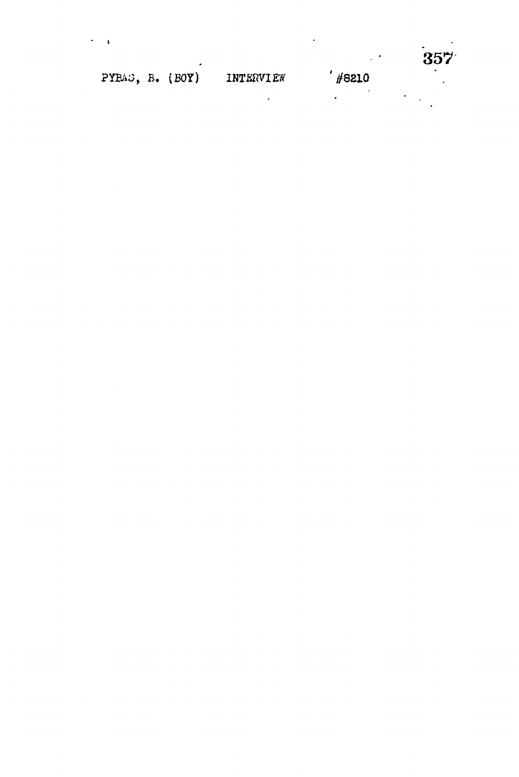|                 |  |                  |       | $\overline{ }$<br>$357^{\circ}$ |
|-----------------|--|------------------|-------|---------------------------------|
| PYBA3, B. (BOY) |  | <b>INTERVIEW</b> | #8210 |                                 |
|                 |  |                  |       |                                 |

 $\mathcal{L}^{\mathcal{L}}(\mathcal{A})$  and  $\mathcal{L}^{\mathcal{L}}(\mathcal{A})$  .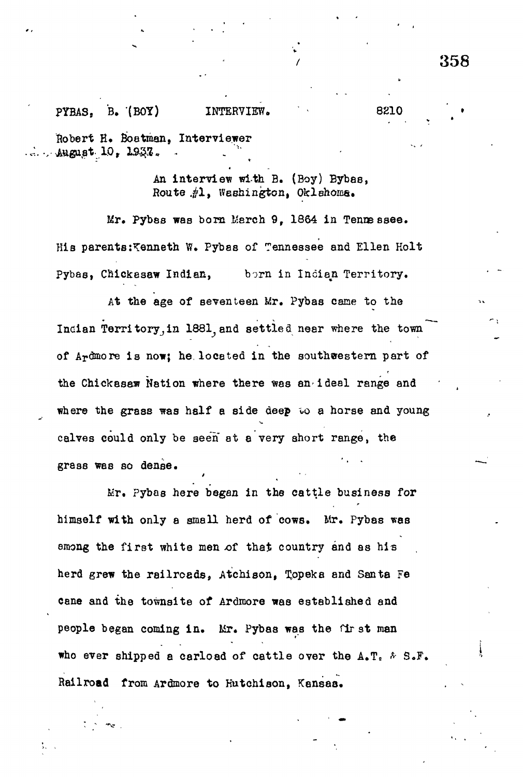# 358

## PYBAS, B. (BOY) INTERVIEW. 8210

Robert H. Boatman, Interviewer August 10, 1937.

> An interview with B. (Boy) Bybas, Route .£1, Washington, Oklahoma.

Mr. Pybas was born March 9, 1864 in Tennessee. His parents:Kenneth W. Pybas of Tennessee and Ellen Holt Pybas, Chickesaw Indian, born in Indian Territory.

At the age of seventeen Mr. Pybas cane to the Indian Territory, in 1881, and settled near where the town of Ardmore is now; he located in the southwestern part of the Chickesaw Nation where there was an-ideal range and where the grass was half a side deep to a horse and young calves could only be seen at a very short range, the grass was so dense.

Mr. Pybas here began in the cattle business for himself with only a small herd of cows. Mr. Pybas was among the first white men of that country and as his herd grew the railroads, Atchison, Topeka and Santa Fe cane and the townsite of Ardmore was established and people began coming in. Mr. Pybas was the first man who ever shipped a carload of cattle over the  $A_*T_*$   $\&$  S.F. Railroad from Ardmore to Hutchison, Kansas.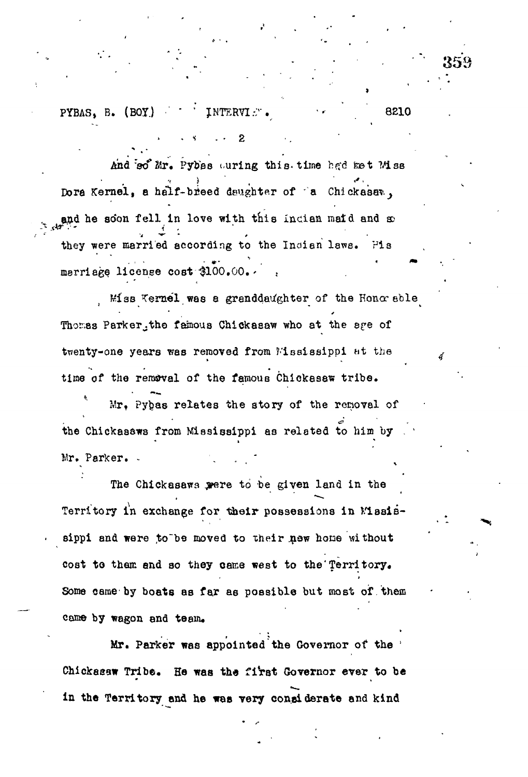PYBAS, B.  $(BOY)$  WITERVIE.

And so Mr. Pybas ouring this time had met Miss Dora Kernel, a half-breed deughter of 'a Chickasan, and he soon fell in love with this incian maid and so they were married according to the Indian laws. Fis marriage license cost \$100.00.

2

8210

Miss Vernel was a granddaughter of the Honor sble Thomas Parker, the famous Chickasaw who at the sge of twenty-one years was removed from Mississippi at the time of the removal of the famous Chickasaw tribe.

Mr. Pybas relates the story of the removal of the Chickassws from Mississippi as related to him by Mr. Parker.

The Chickasaws were to be given land in the Territory in exchange for their possessions in Masissippi and were to be moved to their new home without cost to them and so they came west to the Territory. Some came by boats as far as possible but most of them came by wagon and team.

Mr. Parker was appointed the Covernor of the Chickasaw Tribe. He was the first Governor ever to be in the Territory and he was very conaiderate and kind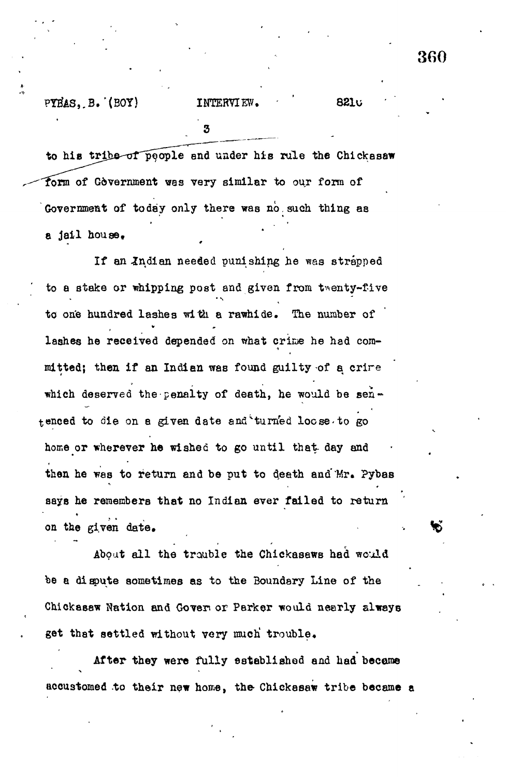## PYBAS, B. (BOY)

#### INTERVIEW. **8210**

to his tribe of people and under his rule the Chickasaw form of Government was very similar to our form of Government of today only there was no such thing as a jail house.

If an Indian needed punishing he was strapped to a stake or whipping post and given from twenty-five to one hundred lashes with a rawhide. The number of lashes he received depended on what crime he had committed; then if an Indian was found guilty of a crire which deserved the penalty of death, he would be sentenced to die on a given date and turned locse to go home or wherever he wished to go until that day and then he was to return and be put to death and Mr. Pybas says he remembers that no Indian ever failed to return on the given date.

About all the trauble the Chickasaws had would be a dispute sometimes as to the Boundary Line of the Chickassw Nation and Gover or Parker would nearly always get that settled without very much trouble.

After they were fully established and had became accustomed to their new home, the Chickesaw tribe became a